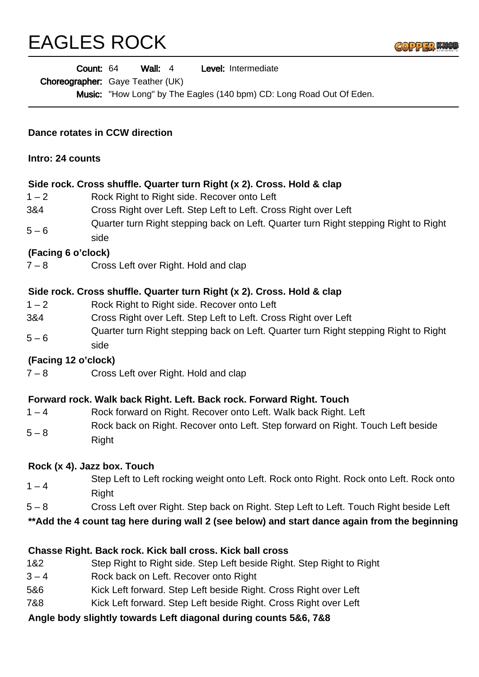# EAGLES ROCK



|                                                                                                | Wall: $4$<br>Level: Intermediate<br>Count: 64<br>Choreographer: Gaye Teather (UK)<br>Music: "How Long" by The Eagles (140 bpm) CD: Long Road Out Of Eden. |
|------------------------------------------------------------------------------------------------|-----------------------------------------------------------------------------------------------------------------------------------------------------------|
|                                                                                                |                                                                                                                                                           |
| Dance rotates in CCW direction<br>Intro: 24 counts                                             |                                                                                                                                                           |
|                                                                                                |                                                                                                                                                           |
| $1 - 2$                                                                                        | Rock Right to Right side. Recover onto Left                                                                                                               |
| 3&4                                                                                            | Cross Right over Left. Step Left to Left. Cross Right over Left                                                                                           |
| $5 - 6$                                                                                        | Quarter turn Right stepping back on Left. Quarter turn Right stepping Right to Right<br>side                                                              |
| (Facing 6 o'clock)                                                                             |                                                                                                                                                           |
| $7 - 8$                                                                                        | Cross Left over Right. Hold and clap                                                                                                                      |
|                                                                                                | Side rock. Cross shuffle. Quarter turn Right (x 2). Cross. Hold & clap                                                                                    |
| $1 - 2$                                                                                        | Rock Right to Right side. Recover onto Left                                                                                                               |
| 3&4                                                                                            | Cross Right over Left. Step Left to Left. Cross Right over Left                                                                                           |
| $5 - 6$                                                                                        | Quarter turn Right stepping back on Left. Quarter turn Right stepping Right to Right<br>side                                                              |
| (Facing 12 o'clock)                                                                            |                                                                                                                                                           |
| $7 - 8$                                                                                        | Cross Left over Right. Hold and clap                                                                                                                      |
| Forward rock. Walk back Right. Left. Back rock. Forward Right. Touch                           |                                                                                                                                                           |
| $1 - 4$                                                                                        | Rock forward on Right. Recover onto Left. Walk back Right. Left                                                                                           |
| $5 - 8$                                                                                        | Rock back on Right. Recover onto Left. Step forward on Right. Touch Left beside<br>Right                                                                  |
| Rock (x 4). Jazz box. Touch                                                                    |                                                                                                                                                           |
| $1 - 4$                                                                                        | Step Left to Left rocking weight onto Left. Rock onto Right. Rock onto Left. Rock onto<br>Right                                                           |
| $5 - 8$                                                                                        | Cross Left over Right. Step back on Right. Step Left to Left. Touch Right beside Left                                                                     |
| ** Add the 4 count tag here during wall 2 (see below) and start dance again from the beginning |                                                                                                                                                           |
|                                                                                                | Chasse Right. Back rock. Kick ball cross. Kick ball cross                                                                                                 |
| 1&2                                                                                            | Step Right to Right side. Step Left beside Right. Step Right to Right                                                                                     |
| $3 - 4$                                                                                        | Rock back on Left. Recover onto Right                                                                                                                     |
| 5&6                                                                                            | Kick Left forward. Step Left beside Right. Cross Right over Left                                                                                          |
| 7&8                                                                                            | Kick Left forward. Step Left beside Right. Cross Right over Left                                                                                          |
|                                                                                                | Angle body slightly towards Left diagonal during counts 5&6, 7&8                                                                                          |